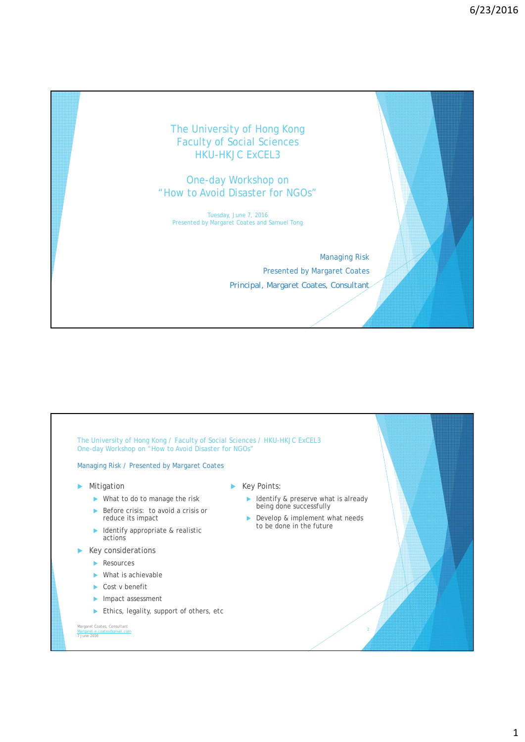## The University of Hong Kong Faculty of Social Sciences HKU-HKJC ExCEL3

## One-day Workshop on "How to Avoid Disaster for NGOs"

Tuesday, June 7, 2016 Presented by Margaret Coates and Samuel Tong

> Managing Risk Presented by Margaret Coates *Principal, Margaret Coates, Consultant*

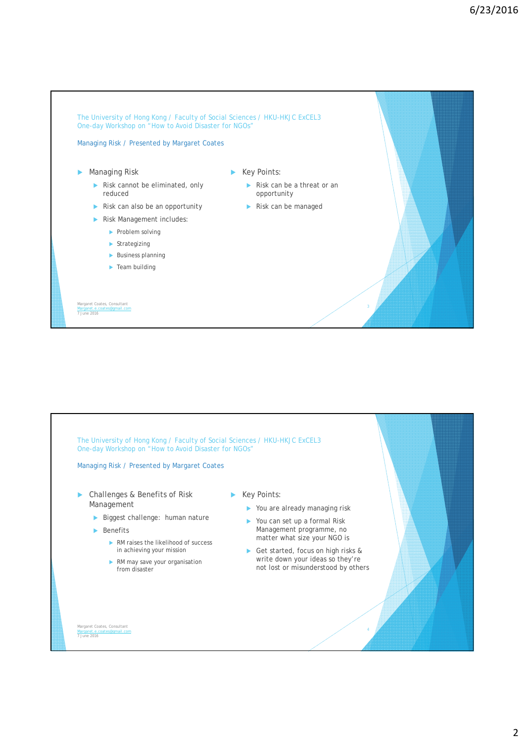